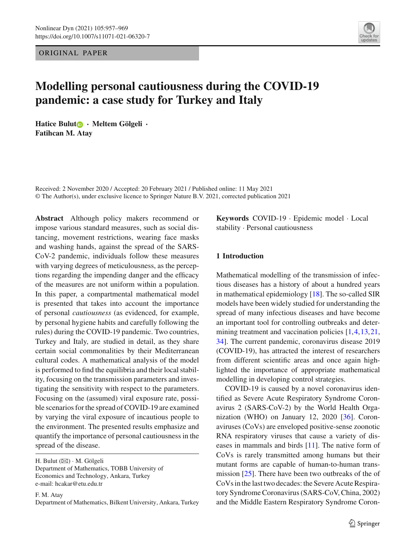ORIGINAL PAPER

# **Modelling personal cautiousness during the COVID-19 pandemic: a case study for Turkey and Italy**

**Hatice Bulu[t](http://orcid.org/0000-0001-5035-4091) · Meltem Gölgeli · Fatihcan M. Atay**

Received: 2 November 2020 / Accepted: 20 February 2021 / Published online: 11 May 2021 © The Author(s), under exclusive licence to Springer Nature B.V. 2021, corrected publication 2021

**Abstract** Although policy makers recommend or impose various standard measures, such as social distancing, movement restrictions, wearing face masks and washing hands, against the spread of the SARS-CoV-2 pandemic, individuals follow these measures with varying degrees of meticulousness, as the perceptions regarding the impending danger and the efficacy of the measures are not uniform within a population. In this paper, a compartmental mathematical model is presented that takes into account the importance of personal *cautiousness* (as evidenced, for example, by personal hygiene habits and carefully following the rules) during the COVID-19 pandemic. Two countries, Turkey and Italy, are studied in detail, as they share certain social commonalities by their Mediterranean cultural codes. A mathematical analysis of the model is performed to find the equilibria and their local stability, focusing on the transmission parameters and investigating the sensitivity with respect to the parameters. Focusing on the (assumed) viral exposure rate, possible scenarios for the spread of COVID-19 are examined by varying the viral exposure of incautious people to the environment. The presented results emphasize and quantify the importance of personal cautiousness in the spread of the disease.

F. M. Atay

Department of Mathematics, Bilkent University, Ankara, Turkey

**Keywords** COVID-19 · Epidemic model · Local stability · Personal cautiousness

# **1 Introduction**

Mathematical modelling of the transmission of infectious diseases has a history of about a hundred years in mathematical epidemiology [\[18\]](#page-11-0). The so-called SIR models have been widely studied for understanding the spread of many infectious diseases and have become an important tool for controlling outbreaks and deter-mining treatment and vaccination policies [\[1](#page-11-1)[,4](#page-11-2)[,13](#page-11-3),[21,](#page-11-4)] [34\]](#page-12-0). The current pandemic, coronavirus disease 2019 (COVID-19), has attracted the interest of researchers from different scientific areas and once again highlighted the importance of appropriate mathematical modelling in developing control strategies.

COVID-19 is caused by a novel coronavirus identified as Severe Acute Respiratory Syndrome Coronavirus 2 (SARS-CoV-2) by the World Health Organization (WHO) on January 12, 2020 [\[36](#page-12-1)]. Coronaviruses (CoVs) are enveloped positive-sense zoonotic RNA respiratory viruses that cause a variety of diseases in mammals and birds [\[11\]](#page-11-5). The native form of CoVs is rarely transmitted among humans but their mutant forms are capable of human-to-human trans-mission [\[25](#page-11-6)]. There have been two outbreaks of the of CoVs in the last two decades: the Severe Acute Respiratory Syndrome Coronavirus (SARS-CoV, China, 2002) and the Middle Eastern Respiratory Syndrome Coron-



H. Bulut  $(\boxtimes) \cdot M$ . Gölgeli Department of Mathematics, TOBB University of Economics and Technology, Ankara, Turkey e-mail: hcakar@etu.edu.tr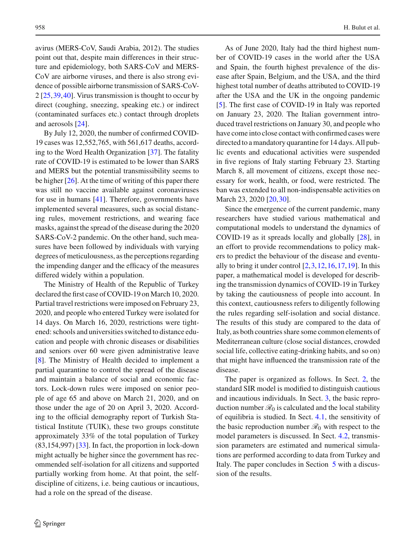avirus (MERS-CoV, Saudi Arabia, 2012). The studies point out that, despite main differences in their structure and epidemiology, both SARS-CoV and MERS-CoV are airborne viruses, and there is also strong evidence of possible airborne transmission of SARS-CoV-2 [\[25](#page-11-6)[,39](#page-12-2)[,40](#page-12-3)]. Virus transmission is thought to occur by direct (coughing, sneezing, speaking etc.) or indirect (contaminated surfaces etc.) contact through droplets and aerosols [\[24\]](#page-11-7).

By July 12, 2020, the number of confirmed COVID-19 cases was 12,552,765, with 561,617 deaths, according to the Word Health Organization [\[37\]](#page-12-4). The fatality rate of COVID-19 is estimated to be lower than SARS and MERS but the potential transmissibility seems to be higher [\[26](#page-11-8)]. At the time of writing of this paper there was still no vaccine available against coronaviruses for use in humans [\[41\]](#page-12-5). Therefore, governments have implemented several measures, such as social distancing rules, movement restrictions, and wearing face masks, against the spread of the disease during the 2020 SARS-CoV-2 pandemic. On the other hand, such measures have been followed by individuals with varying degrees of meticulousness, as the perceptions regarding the impending danger and the efficacy of the measures differed widely within a population.

The Ministry of Health of the Republic of Turkey declared the first case of COVID-19 on March 10, 2020. Partial travel restrictions were imposed on February 23, 2020, and people who entered Turkey were isolated for 14 days. On March 16, 2020, restrictions were tightened: schools and universities switched to distance education and people with chronic diseases or disabilities and seniors over 60 were given administrative leave [\[8\]](#page-11-9). The Ministry of Health decided to implement a partial quarantine to control the spread of the disease and maintain a balance of social and economic factors. Lock-down rules were imposed on senior people of age 65 and above on March 21, 2020, and on those under the age of 20 on April 3, 2020. According to the official demography report of Turkish Statistical Institute (TUIK), these two groups constitute approximately 33% of the total population of Turkey  $(83,154,997)$  [\[33](#page-12-6)]. In fact, the proportion in lock-down might actually be higher since the government has recommended self-isolation for all citizens and supported partially working from home. At that point, the selfdiscipline of citizens, i.e. being cautious or incautious, had a role on the spread of the disease.

As of June 2020, Italy had the third highest number of COVID-19 cases in the world after the USA and Spain, the fourth highest prevalence of the disease after Spain, Belgium, and the USA, and the third highest total number of deaths attributed to COVID-19 after the USA and the UK in the ongoing pandemic [\[5\]](#page-11-10). The first case of COVID-19 in Italy was reported on January 23, 2020. The Italian government introduced travel restrictions on January 30, and people who have come into close contact with confirmed cases were directed to a mandatory quarantine for 14 days. All public events and educational activities were suspended in five regions of Italy starting February 23. Starting March 8, all movement of citizens, except those necessary for work, health, or food, were restricted. The ban was extended to all non-indispensable activities on March 23, 2020 [\[20,](#page-11-11) [30\]](#page-12-7).

Since the emergence of the current pandemic, many researchers have studied various mathematical and computational models to understand the dynamics of COVID-19 as it spreads locally and globally [\[28](#page-11-12)], in an effort to provide recommendations to policy makers to predict the behaviour of the disease and eventually to bring it under control  $[2,3,12,16,17,19]$  $[2,3,12,16,17,19]$  $[2,3,12,16,17,19]$  $[2,3,12,16,17,19]$  $[2,3,12,16,17,19]$  $[2,3,12,16,17,19]$  $[2,3,12,16,17,19]$  $[2,3,12,16,17,19]$ . In this paper, a mathematical model is developed for describing the transmission dynamics of COVID-19 in Turkey by taking the cautiousness of people into account. In this context, cautiousness refers to diligently following the rules regarding self-isolation and social distance. The results of this study are compared to the data of Italy, as both countries share some common elements of Mediterranean culture (close social distances, crowded social life, collective eating-drinking habits, and so on) that might have influenced the transmission rate of the disease.

The paper is organized as follows. In Sect. [2,](#page-2-0) the standard SIR model is modified to distinguish cautious and incautious individuals. In Sect. [3,](#page-3-0) the basic reproduction number  $\mathcal{R}_0$  is calculated and the local stability of equilibria is studied. In Sect. [4.1,](#page-6-0) the sensitivity of the basic reproduction number  $\mathcal{R}_0$  with respect to the model parameters is discussed. In Sect. [4.2,](#page-8-0) transmission parameters are estimated and numerical simulations are performed according to data from Turkey and Italy. The paper concludes in Section [5](#page-9-0) with a discussion of the results.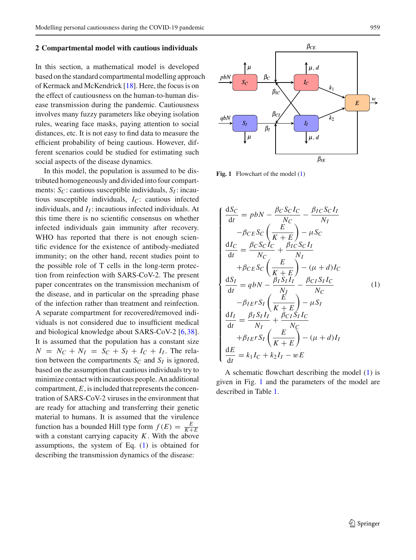#### <span id="page-2-0"></span>**2 Compartmental model with cautious individuals**

In this section, a mathematical model is developed based on the standard compartmental modelling approach of Kermack and McKendrick [\[18\]](#page-11-0). Here, the focus is on the effect of cautiousness on the human-to-human disease transmission during the pandemic. Cautiousness involves many fuzzy parameters like obeying isolation rules, wearing face masks, paying attention to social distances, etc. It is not easy to find data to measure the efficient probability of being cautious. However, different scenarios could be studied for estimating such social aspects of the disease dynamics.

In this model, the population is assumed to be distributed homogeneously and divided into four compartments:  $S_C$ : cautious susceptible individuals,  $S_I$ : incautious susceptible individuals, *IC*: cautious infected individuals, and  $I_I$ : incautious infected individuals. At this time there is no scientific consensus on whether infected individuals gain immunity after recovery. WHO has reported that there is not enough scientific evidence for the existence of antibody-mediated immunity; on the other hand, recent studies point to the possible role of T cells in the long-term protection from reinfection with SARS-CoV-2. The present paper concentrates on the transmission mechanism of the disease, and in particular on the spreading phase of the infection rather than treatment and reinfection. A separate compartment for recovered/removed individuals is not considered due to insufficient medical and biological knowledge about SARS-CoV-2 [\[6](#page-11-19)[,38](#page-12-8)]. It is assumed that the population has a constant size  $N = N_C + N_I = S_C + S_I + I_C + I_I$ . The relation between the compartments  $S_C$  and  $S_I$  is ignored, based on the assumption that cautious individuals try to minimize contact with incautious people. An additional compartment, *E*, is included that represents the concentration of SARS-CoV-2 viruses in the environment that are ready for attaching and transferring their genetic material to humans. It is assumed that the virulence function has a bounded Hill type form  $f(E) = \frac{E}{K+E}$ with a constant carrying capacity *K*. With the above assumptions, the system of Eq. [\(1\)](#page-2-1) is obtained for describing the transmission dynamics of the disease:



<span id="page-2-2"></span>Fig. 1 Flowchart of the model [\(1\)](#page-2-1)

<span id="page-2-1"></span>
$$
\begin{cases}\n\frac{dS_C}{dt} = pbN - \frac{\beta_C S_C I_C}{N_C} - \frac{\beta_{IC} S_C I_I}{N_I} \\
-\beta_{CE} S_C \left(\frac{E}{K+E}\right) - \mu S_C \\
\frac{dI_C}{dt} = \frac{\beta_C S_C I_C}{N_C} + \frac{\beta_{IC} S_C I_I}{N_I} \\
+\beta_{CE} S_C \left(\frac{E}{K+E}\right) - (\mu + d) I_C \\
\frac{dS_I}{dt} = qbN - \frac{\beta_I S_I I_I}{N_I} - \frac{\beta_{CI} S_I I_C}{N_C} \\
-\beta_{IE} r S_I \left(\frac{E}{K+E}\right) - \mu S_I \\
\frac{dI_I}{dt} = \frac{\beta_I S_I I_I}{N_I} + \frac{\beta_{CI} S_I I_C}{N_C} \\
+\beta_{IE} r S_I \left(\frac{E}{K+E}\right) - (\mu + d) I_I \\
\frac{dE}{dt} = k_1 I_C + k_2 I_I - wE\n\end{cases} (1)
$$

A schematic flowchart describing the model [\(1\)](#page-2-1) is given in Fig. [1](#page-2-2) and the parameters of the model are described in Table [1.](#page-3-1)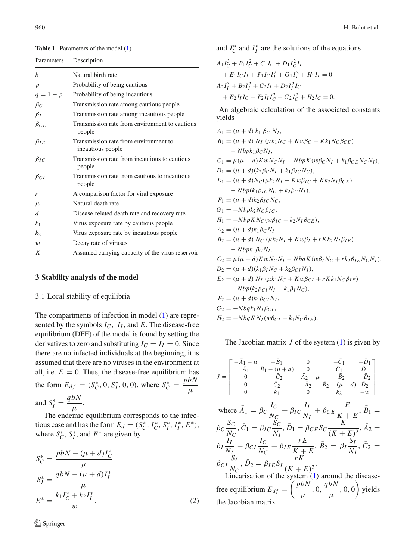<span id="page-3-1"></span>**Table 1** Parameters of the model [\(1\)](#page-2-1)

| Parameters       | Description                                                |
|------------------|------------------------------------------------------------|
| $\boldsymbol{h}$ | Natural birth rate                                         |
| $\boldsymbol{p}$ | Probability of being cautious                              |
| $q = 1 - p$      | Probability of being incautious                            |
| $\beta_C$        | Transmission rate among cautious people                    |
| $\beta_I$        | Transmission rate among incautious people.                 |
| $\beta_{CE}$     | Transmission rate from environment to cautious<br>people   |
| $\beta_{IE}$     | Transmission rate from environment to<br>incautious people |
| $\beta_{IC}$     | Transmission rate from incautious to cautious<br>people    |
| $\beta_{CI}$     | Transmission rate from cautious to incautious<br>people    |
| r                | A comparison factor for viral exposure                     |
| $\mu$            | Natural death rate                                         |
| d                | Disease-related death rate and recovery rate               |
| k <sub>1</sub>   | Virus exposure rate by cautious people                     |
| k <sub>2</sub>   | Virus exposure rate by incautious people                   |
| $\boldsymbol{w}$ | Decay rate of viruses                                      |
| K                | Assumed carrying capacity of the virus reservoir           |
|                  |                                                            |

#### <span id="page-3-0"></span>**3 Stability analysis of the model**

#### 3.1 Local stability of equilibria

The compartments of infection in model [\(1\)](#page-2-1) are represented by the symbols *IC*, *II* , and *E*. The disease-free equilibrium (DFE) of the model is found by setting the derivatives to zero and substituting  $I_C = I_I = 0$ . Since there are no infected individuals at the beginning, it is assumed that there are no viruses in the environment at all, i.e.  $E = 0$ . Thus, the disease-free equilibrium has the form  $E_{df} = (S_C^*, 0, S_I^*, 0, 0)$ , where  $S_C^* = \frac{pbN}{\mu}$ and  $S_I^* = \frac{q b N}{\mu}$ .

The endemic equilibrium corresponds to the infectious case and has the form  $E_d = (S_C^*, I_C^*, S_I^*, I_I^*, E^*),$ where  $S_C^*$ ,  $S_I^*$ , and  $E^*$  are given by

$$
S_C^* = \frac{pbN - (\mu + d)I_C^*}{\mu}
$$
  
\n
$$
S_I^* = \frac{qbN - (\mu + d)I_I^*}{\mu}
$$
  
\n
$$
E^* = \frac{k_1 I_C^* + k_2 I_I^*}{w},
$$
\n(2)

and  $I_C^*$  and  $I_I^*$  are the solutions of the equations

$$
A_1I_C^3 + B_1I_C^2 + C_1I_C + D_1I_C^2I_I
$$
  
+ E\_1I\_CI\_I + F\_1I\_CI\_I^2 + G\_1I\_I^2 + H\_1I\_I = 0  

$$
A_2I_I^3 + B_2I_I^2 + C_2I_I + D_2I_I^2I_C
$$
  
+ E\_2I\_II\_C + F\_2I\_II\_C^2 + G\_2I\_C^2 + H\_2I\_C = 0.

An algebraic calculation of the associated constants yields

| $A_1 = (\mu + d) k_1 \beta_C N_I,$                                                |
|-----------------------------------------------------------------------------------|
| $B_1 = (\mu + d) N_I (\mu k_1 N_C + K w \beta_C + K k_1 N_C \beta_{CE})$          |
| $-Nbpk_1\beta CN_I,$                                                              |
| $C_1 = \mu(\mu + d)KwN_CN_I - NbpK(w\beta_CN_I + k_1\beta_{CE}N_CN_I),$           |
| $D_1 = (\mu + d)(k_2 \beta_C N_I + k_1 \beta_I C N_C),$                           |
| $E_1 = (\mu + d)N_C(\mu k_2 N_I + K w \beta_{IC} + K k_2 N_I \beta_{CE})$         |
| $-Nbp(k_1\beta_{IC}N_C+k_2\beta_CN_I),$                                           |
| $F_1 = (\mu + d)k_2 \beta_{IC} N_C$ ,                                             |
| $G_1 = -Nbpk_2N_C\beta_{IC}$                                                      |
| $H_1 = -NbpKN_C(w\beta_{IC} + k_2N_I\beta_{CE}),$                                 |
| $A_2 = (\mu + d)k_1\beta_C N_I,$                                                  |
| $B_2 = (\mu + d) N_C (\mu k_2 N_I + K w \beta_I + r K k_2 N_I \beta_{IE})$        |
| $-Nbpk1\betaCNI$ ,                                                                |
| $C_2 = \mu(\mu + d)KwN_CN_I - NbqK(w\beta_I N_C + rk_2\beta_{IE}N_CN_I),$         |
| $D_2 = (\mu + d)(k_1 \beta_I N_C + k_2 \beta_{CI} N_I),$                          |
| $E_2 = (\mu + d) N_I$ ( $\mu k_1 N_C + K w \beta_{CI} + r K k_1 N_C \beta_{IE}$ ) |
| $-Nbp(k_2\beta_{CI}N_I + k_1\beta_I N_C),$                                        |
| $F_2 = (\mu + d)k_1 \beta_{CI} N_I,$                                              |
| $G_2 = -Nbqk_1N_I\beta_{CI}$                                                      |
| $H_2 = -NbqKN_I(w\beta_{CI} + k_1N_C\beta_{IE}).$                                 |
|                                                                                   |

The Jacobian matrix  $J$  of the system  $(1)$  is given by

$$
J = \begin{bmatrix} -\bar{A}_{1} - \mu & -\bar{B}_{1} & 0 & -\bar{C}_{1} & -\bar{D}_{1} \\ \bar{A}_{1} & \bar{B}_{1} - (\mu + d) & 0 & \bar{C}_{1} & \bar{D}_{1} \\ 0 & -\bar{C}_{2} & -\bar{A}_{2} - \mu & -\bar{B}_{2} & -\bar{D}_{2} \\ 0 & \bar{C}_{2} & \bar{A}_{2} & \bar{B}_{2} - (\mu + d) & \bar{D}_{2} \\ 0 & k_{1} & 0 & k_{2} & -w \end{bmatrix}
$$
  
where  $\bar{A}_{1} = \beta_{C} \frac{I_{C}}{N_{C}} + \beta_{IC} \frac{I_{I}}{N_{I}} + \beta_{CE} \frac{E}{K + E}, \bar{B}_{1} =$   
 $\beta_{C} \frac{S_{C}}{N_{C}}, \bar{C}_{1} = \beta_{IC} \frac{S_{C}}{N_{I}}, \bar{D}_{1} = \beta_{CE} S_{C} \frac{K}{(K + E)^{2}}, \bar{A}_{2} =$   
 $\beta_{I} \frac{I_{I}}{N_{I}} + \beta_{CI} \frac{I_{C}}{N_{C}} + \beta_{IE} \frac{rE}{K + E}, \bar{B}_{2} = \beta_{I} \frac{S_{I}}{N_{I}}, \bar{C}_{2} =$   
 $\beta_{CI} \frac{S_{I}}{N_{C}}, \bar{D}_{2} = \beta_{IE} S_{I} \frac{rK}{(K + E)^{2}}.$   
Linearisation of the system (1) around the disease-

Linearisation of the system  $(1)$  around the diseasefree equilibrium  $E_{df} = \left(\frac{pbN}{\mu}, 0, \frac{qbN}{\mu}, 0, 0\right)$  yields the Jacobian matrix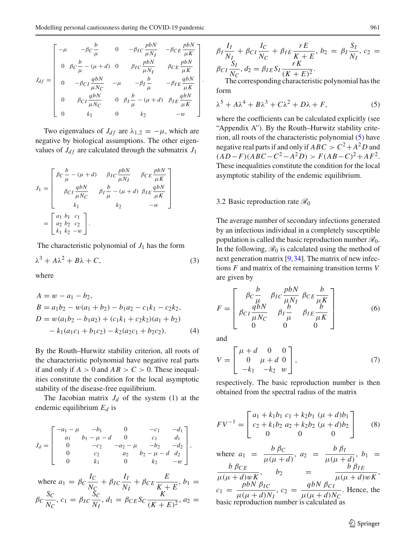$$
J_{df} = \begin{bmatrix}\n-\mu & -\beta_C \frac{b}{\mu} & 0 & -\beta_I C \frac{pbN}{\mu N_I} & -\beta_C E \frac{pbN}{\mu K} \\
0 & \beta_C \frac{b}{\mu} - (\mu + d) & 0 & \beta_I C \frac{pbN}{\mu N_I} & \beta_C E \frac{pbN}{\mu K} \\
0 & -\beta_{C I} \frac{qbN}{\mu N_C} & -\mu & -\beta_I \frac{b}{\mu} & -\beta_{I E} \frac{qbN}{\mu K} \\
0 & \beta_{C I} \frac{qbN}{\mu N_C} & 0 & \beta_I \frac{b}{\mu} - (\mu + d) & \beta_{I E} \frac{qbN}{\mu K} \\
0 & k_1 & 0 & k_2 & -w\n\end{bmatrix}
$$

Two eigenvalues of  $J_{df}$  are  $\lambda_{1,2} = -\mu$ , which are negative by biological assumptions. The other eigenvalues of  $J_{df}$  are calculated through the submatrix  $J_1$ 

$$
J_1 = \begin{bmatrix} \beta_C \frac{b}{\mu} - (\mu + d) & \beta_{IC} \frac{pbN}{\mu N_I} & \beta_{CE} \frac{pbN}{\mu K} \\ \beta_{CI} \frac{qbN}{\mu N_C} & \beta_I \frac{b}{\mu} - (\mu + d) & \beta_{IE} \frac{qbN}{\mu K} \\ k_1 & k_2 & -w \end{bmatrix}
$$

$$
= \begin{bmatrix} a_1 b_1 & c_1 \\ a_2 b_2 & c_2 \\ k_1 k_2 - w \end{bmatrix}.
$$

The characteristic polynomial of  $J_1$  has the form

$$
\lambda^3 + A\lambda^2 + B\lambda + C,\tag{3}
$$

where

$$
A = w - a_1 - b_2,
$$
  
\n
$$
B = a_1b_2 - w(a_1 + b_2) - b_1a_2 - c_1k_1 - c_2k_2,
$$
  
\n
$$
D = w(a_1b_2 - b_1a_2) + (c_1k_1 + c_2k_2)(a_1 + b_2)
$$
  
\n
$$
- k_1(a_1c_1 + b_1c_2) - k_2(a_2c_1 + b_2c_2).
$$
\n(4)

By the Routh–Hurwitz stability criterion, all roots of the characteristic polynomial have negative real parts if and only if  $A > 0$  and  $AB > C > 0$ . These inequalities constitute the condition for the local asymptotic stability of the disease-free equilibrium.

The Jacobian matrix  $J_d$  of the system  $(1)$  at the endemic equilibrium *Ed* is

$$
J_d = \begin{bmatrix} -a_1 - \mu & -b_1 & 0 & -c_1 & -d_1 \\ a_1 & b_1 - \mu - d & 0 & c_1 & d_1 \\ 0 & -c_2 & -a_2 - \mu & -b_2 & -d_2 \\ 0 & c_2 & a_2 & b_2 - \mu - d & d_2 \\ 0 & k_1 & 0 & k_2 & -w \end{bmatrix},
$$
  
where  $a_1 = \beta_C \frac{I_C}{N_C} + \beta_{IC} \frac{I_I}{N_I} + \beta_{CE} \frac{E}{K + E}, b_1 =$   
 $\beta_C \frac{S_C}{N_C}, c_1 = \beta_{IC} \frac{S_C}{N_I}, d_1 = \beta_{CE} S_C \frac{K}{(K + E)^2}, a_2 =$ 

$$
\beta_I \frac{I_I}{N_I} + \beta_{CI} \frac{I_C}{N_C} + \beta_{IE} \frac{rE}{K+E}, b_2 = \beta_I \frac{S_I}{N_I}, c_2 = \beta_{CI} \frac{S_I}{N_C}, d_2 = \beta_{IE} S_I \frac{rK}{(K+E)^2}.
$$
  
The corresponding characteristic polynomial has the

form

<span id="page-4-0"></span>
$$
\lambda^5 + A\lambda^4 + B\lambda^3 + C\lambda^2 + D\lambda + F,\tag{5}
$$

where the coefficients can be calculated explicitly (see "Appendix A"). By the Routh–Hurwitz stability criterion, all roots of the characteristic polynomial [\(5\)](#page-4-0) have negative real parts if and only if  $ABC > C^2 + A^2D$  and  $(AD-F)(ABC - C^2 - A^2D) > F(AB - C)^2 + AF^2$ . These inequalities constitute the condition for the local asymptotic stability of the endemic equilibrium.

#### 3.2 Basic reproduction rate *R*<sup>0</sup>

The average number of secondary infections generated by an infectious individual in a completely susceptible population is called the basic reproduction number *R*0. In the following,  $\mathcal{R}_0$  is calculated using the method of next generation matrix [\[9](#page-11-20)[,34](#page-12-0)]. The matrix of new infections *F* and matrix of the remaining transition terms *V* are given by

$$
F = \begin{bmatrix} \beta c \frac{b}{\mu} & \beta \frac{b}{\mu N_I} & \beta c \frac{b}{\mu K} \\ \beta c \frac{q b N}{\mu N_C} & \beta \frac{b}{\mu} & \beta \frac{b}{\mu K} \\ 0 & 0 & 0 \end{bmatrix} \tag{6}
$$

and

.

$$
V = \begin{bmatrix} \mu + d & 0 & 0 \\ 0 & \mu + d & 0 \\ -k_1 & -k_2 & w \end{bmatrix},
$$
 (7)

respectively. The basic reproduction number is then obtained from the spectral radius of the matrix

$$
FV^{-1} = \begin{bmatrix} a_1 + k_1b_1 & c_1 + k_2b_1 & (\mu + d)b_1 \\ c_2 + k_1b_2 & a_2 + k_2b_2 & (\mu + d)b_2 \\ 0 & 0 & 0 \end{bmatrix}
$$
 (8)

where  $a_1 = \frac{b \beta c}{\mu(\mu + d)}, a_2 = \frac{b \beta l}{\mu(\mu + d)}, b_1 =$  $\frac{b \beta_{CE}}{\mu(\mu+d)wK}$ ,  $b_2 = \frac{b \beta_{IE}}{\mu(\mu+d)wK}$  $c_1 = \frac{pbN \beta_{IC}}{\mu(\mu+d)N_I}$ ,  $c_2 = \frac{qbN \beta_{CI}}{\mu(\mu+d)N_C}$ . Hence, the basic reproduction number is calculated as

 $\mathcal{L}$  Springer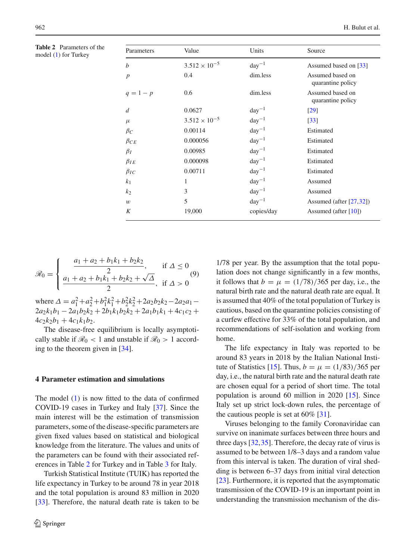<span id="page-5-0"></span>**Table 2** Parameters of the model  $(1)$  for Turkey

| Parameters     | Value                  | Units      | Source                                |
|----------------|------------------------|------------|---------------------------------------|
| b              | $3.512 \times 10^{-5}$ | $day^{-1}$ | Assumed based on [33]                 |
| $\overline{p}$ | 0.4                    | dim.less   | Assumed based on<br>quarantine policy |
| $q = 1 - p$    | 0.6                    | dim.less   | Assumed based on<br>quarantine policy |
| d              | 0.0627                 | $day^{-1}$ | [29]                                  |
| $\mu$          | $3.512 \times 10^{-5}$ | $day^{-1}$ | $\left[33\right]$                     |
| $\beta_C$      | 0.00114                | $day^{-1}$ | Estimated                             |
| $\beta_{CE}$   | 0.000056               | $day^{-1}$ | Estimated                             |
| $\beta_I$      | 0.00985                | $day^{-1}$ | Estimated                             |
| $\beta_{IE}$   | 0.000098               | $day^{-1}$ | Estimated                             |
| $\beta_{IC}$   | 0.00711                | $day^{-1}$ | Estimated                             |
| k <sub>1</sub> | 1                      | $day^{-1}$ | Assumed                               |
| $k_2$          | 3                      | $day^{-1}$ | Assumed                               |
| w              | 5                      | $day^{-1}$ | Assumed (after $[27,32]$ )            |
| K              | 19,000                 | copies/day | Assumed (after $[10]$ )               |

$$
\mathcal{R}_0 = \begin{cases} \frac{a_1 + a_2 + b_1 k_1 + b_2 k_2}{2}, & \text{if } \Delta \le 0\\ \frac{a_1 + a_2 + b_1 k_1 + b_2 k_2 + \sqrt{\Delta}}{2}, & \text{if } \Delta > 0 \end{cases}
$$
(9)

where  $\Delta = a_1^2 + a_2^2 + b_1^2 k_1^2 + b_2^2 k_2^2 + 2a_2 b_2 k_2 - 2a_2 a_1$  $2a_2k_1b_1 - 2a_1b_2k_2 + 2b_1k_1b_2k_2 + 2a_1b_1k_1 + 4c_1c_2 +$  $4c_2k_2b_1 + 4c_1k_1b_2$ .

The disease-free equilibrium is locally asymptotically stable if  $\mathcal{R}_0$  < 1 and unstable if  $\mathcal{R}_0$  > 1 according to the theorem given in [\[34\]](#page-12-0).

# **4 Parameter estimation and simulations**

The model  $(1)$  is now fitted to the data of confirmed COVID-19 cases in Turkey and Italy [\[37\]](#page-12-4). Since the main interest will be the estimation of transmission parameters, some of the disease-specific parameters are given fixed values based on statistical and biological knowledge from the literature. The values and units of the parameters can be found with their associated references in Table [2](#page-5-0) for Turkey and in Table [3](#page-6-1) for Italy.

Turkish Statistical Institute (TUIK) has reported the life expectancy in Turkey to be around 78 in year 2018 and the total population is around 83 million in 2020 [\[33\]](#page-12-6). Therefore, the natural death rate is taken to be

1/78 per year. By the assumption that the total population does not change significantly in a few months, it follows that  $b = \mu = (1/78)/365$  per day, i.e., the natural birth rate and the natural death rate are equal. It is assumed that 40% of the total population of Turkey is cautious, based on the quarantine policies consisting of a curfew effective for 33% of the total population, and recommendations of self-isolation and working from home.

The life expectancy in Italy was reported to be around 83 years in 2018 by the Italian National Insti-tute of Statistics [\[15\]](#page-11-24). Thus,  $b = \mu = (1/83)/365$  per day, i.e., the natural birth rate and the natural death rate are chosen equal for a period of short time. The total population is around 60 million in 2020 [\[15](#page-11-24)]. Since Italy set up strict lock-down rules, the percentage of the cautious people is set at  $60\%$  [\[31](#page-12-10)].

Viruses belonging to the family Coronaviridae can survive on inanimate surfaces between three hours and three days  $[32,35]$  $[32,35]$  $[32,35]$ . Therefore, the decay rate of virus is assumed to be between 1/8–3 days and a random value from this interval is taken. The duration of viral shedding is between 6–37 days from initial viral detection [\[23\]](#page-11-25). Furthermore, it is reported that the asymptomatic transmission of the COVID-19 is an important point in understanding the transmission mechanism of the dis-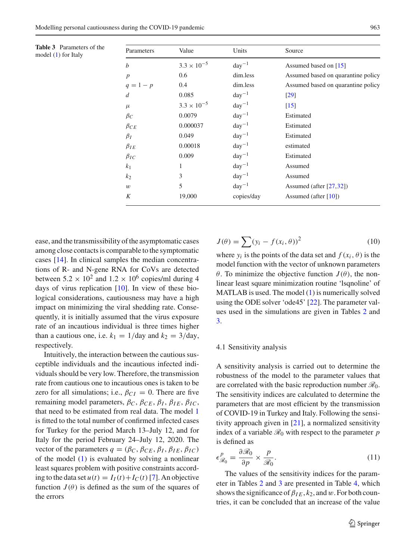<span id="page-6-1"></span>

| <b>Table 3</b> Parameters of the<br>model (1) for Italy | Parameters       | Value                | Units      | Source                             |
|---------------------------------------------------------|------------------|----------------------|------------|------------------------------------|
|                                                         | b                | $3.3 \times 10^{-5}$ | $day^{-1}$ | Assumed based on [15]              |
|                                                         | $\boldsymbol{p}$ | 0.6                  | dim.less   | Assumed based on quarantine policy |
|                                                         | $q = 1 - p$      | 0.4                  | dim.less   | Assumed based on quarantine policy |
|                                                         | d                | 0.085                | $day^{-1}$ | $[29]$                             |
|                                                         | $\mu$            | $3.3 \times 10^{-5}$ | $day^{-1}$ | $[15]$                             |
|                                                         | $\beta_C$        | 0.0079               | $day^{-1}$ | Estimated                          |
|                                                         | $\beta_{CE}$     | 0.000037             | $day^{-1}$ | Estimated                          |
|                                                         | $\beta_I$        | 0.049                | $day^{-1}$ | Estimated                          |
|                                                         | $\beta_{IE}$     | 0.00018              | $day^{-1}$ | estimated                          |
|                                                         | $\beta_{IC}$     | 0.009                | $day^{-1}$ | Estimated                          |
|                                                         | k <sub>1</sub>   | 1                    | $day^{-1}$ | Assumed                            |
|                                                         | k <sub>2</sub>   | 3                    | $day^{-1}$ | Assumed                            |
|                                                         | w                | 5                    | $day^{-1}$ | Assumed (after $[27,32]$ )         |
|                                                         | K                | 19,000               | copies/day | Assumed (after $[10]$ )            |

ease, and the transmissibility of the asymptomatic cases among close contacts is comparable to the symptomatic cases [\[14\]](#page-11-26). In clinical samples the median concentrations of R- and N-gene RNA for CoVs are detected between  $5.2 \times 10^2$  and  $1.2 \times 10^6$  copies/ml during 4 days of virus replication  $[10]$  $[10]$ . In view of these biological considerations, cautiousness may have a high impact on minimizing the viral shedding rate. Consequently, it is initially assumed that the virus exposure rate of an incautious individual is three times higher than a cautious one, i.e.  $k_1 = 1/\text{day}$  and  $k_2 = 3/\text{day}$ , respectively.

Intuitively, the interaction between the cautious susceptible individuals and the incautious infected individuals should be very low. Therefore, the transmission rate from cautious one to incautious ones is taken to be zero for all simulations; i.e.,  $\beta_{CI} = 0$ . There are five remaining model parameters,  $β<sub>C</sub>$ ,  $β<sub>CE</sub>$ ,  $β<sub>I</sub>$ ,  $β<sub>IE</sub>$ ,  $β<sub>IC</sub>$ , that need to be estimated from real data. The model [1](#page-2-1) is fitted to the total number of confirmed infected cases for Turkey for the period March 13–July 12, and for Italy for the period February 24–July 12, 2020. The vector of the parameters  $q = (\beta_C, \beta_{CE}, \beta_I, \beta_{IE}, \beta_{IC})$ of the model [\(1\)](#page-2-1) is evaluated by solving a nonlinear least squares problem with positive constraints according to the data set  $u(t) = I_I(t) + I_C(t)$  [\[7\]](#page-11-27). An objective function  $J(\theta)$  is defined as the sum of the squares of the errors

$$
J(\theta) = \sum (y_i - f(x_i, \theta))^2
$$
 (10)

where  $y_i$  is the points of the data set and  $f(x_i, \theta)$  is the model function with the vector of unknown parameters θ. To minimize the objective function  $J(θ)$ , the nonlinear least square minimization routine 'lsqnoline' of MATLAB is used. The model [\(1\)](#page-2-1) is numerically solved using the ODE solver 'ode45' [\[22\]](#page-11-28). The parameter values used in the simulations are given in Tables [2](#page-5-0) and [3.](#page-6-1)

#### <span id="page-6-0"></span>4.1 Sensitivity analysis

A sensitivity analysis is carried out to determine the robustness of the model to the parameter values that are correlated with the basic reproduction number *R*0. The sensitivity indices are calculated to determine the parameters that are most efficient by the transmission of COVID-19 in Turkey and Italy. Following the sensitivity approach given in [\[21\]](#page-11-4), a normalized sensitivity index of a variable  $\mathcal{R}_0$  with respect to the parameter  $p$ is defined as

$$
\epsilon_{\mathcal{R}_0}^p = \frac{\partial \mathcal{R}_0}{\partial p} \times \frac{p}{\mathcal{R}_0}.\tag{11}
$$

The values of the sensitivity indices for the parameter in Tables [2](#page-5-0) and [3](#page-6-1) are presented in Table [4,](#page-7-0) which shows the significance of  $\beta_{IE}$ ,  $k_2$ , and w. For both countries, it can be concluded that an increase of the value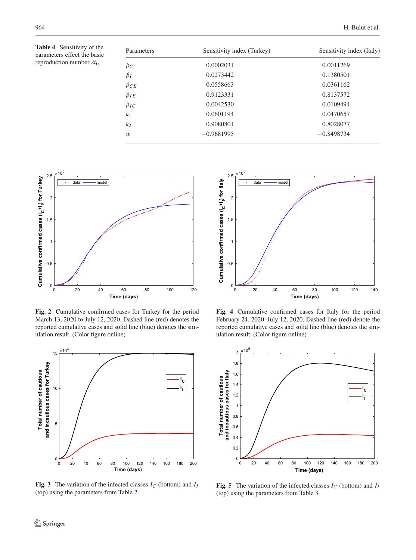<span id="page-7-0"></span>**Table 4** Sensitivity of the parameters effect the basic reproduction number *R*<sup>0</sup>

| Sensitivity index (Turkey) | Sensitivity index (Italy) |  |
|----------------------------|---------------------------|--|
| 0.0002031                  | 0.0011269                 |  |
| 0.0273442                  | 0.1380501                 |  |
| 0.0558663                  | 0.0361162                 |  |
| 0.9123331                  | 0.8137572                 |  |
| 0.0042530                  | 0.0109494                 |  |
| 0.0601194                  | 0.0470657                 |  |
| 0.9080801                  | 0.8028077                 |  |
| $-0.9681995$               | $-0.8498734$              |  |
|                            |                           |  |



<span id="page-7-1"></span>**Fig. 2** Cumulative confirmed cases for Turkey for the period March 13, 2020 to July 12, 2020. Dashed line (red) denotes the reported cumulative cases and solid line (blue) denotes the simulation result. (Color figure online)



<span id="page-7-2"></span>**Fig. 3** The variation of the infected classes  $I_C$  (bottom) and  $I_I$ (top) using the parameters from Table [2](#page-5-0)



<span id="page-7-3"></span>**Fig. 4** Cumulative confirmed cases for Italy for the period February 24, 2020–July 12, 2020. Dashed line (red) denote the reported cumulative cases and solid line (blue) denotes the simulation result. (Color figure online)



<span id="page-7-4"></span>**Fig. 5** The variation of the infected classes  $I_C$  (bottom) and  $I_I$ (top) using the parameters from Table [3](#page-6-1)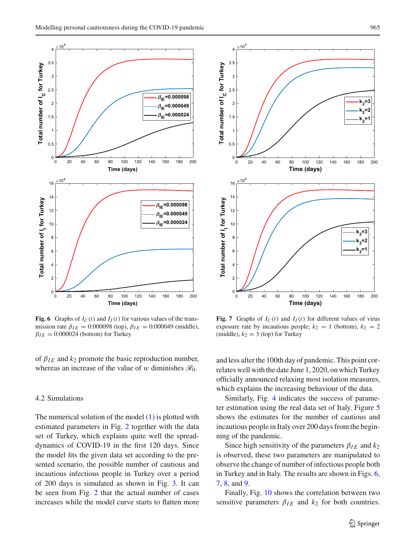

<span id="page-8-1"></span>**Fig. 6** Graphs of  $I_C(t)$  and  $I_I(t)$  for various values of the transmission rate  $\beta_{IE} = 0.000098$  (top),  $\beta_{IE} = 0.000049$  (middle),  $\beta_{IE} = 0:000024$  (bottom) for Turkey

of  $\beta_{IE}$  and  $k_2$  promote the basic reproduction number, whereas an increase of the value of w diminishes  $\mathcal{R}_0$ .

# <span id="page-8-0"></span>4.2 Simulations

The numerical solution of the model [\(1\)](#page-2-1) is plotted with estimated parameters in Fig. [2](#page-7-1) together with the data set of Turkey, which explains quite well the spreaddynamics of COVID-19 in the first 120 days. Since the model fits the given data set according to the presented scenario, the possible number of cautious and incautious infectious people in Turkey over a period of 200 days is simulated as shown in Fig. [3.](#page-7-2) It can be seen from Fig. [2](#page-7-1) that the actual number of cases increases while the model curve starts to flatten more



<span id="page-8-2"></span>**Fig. 7** Graphs of  $I_C(t)$  and  $I_I(t)$  for different values of virus exposure rate by incautious people;  $k_2 = 1$  (bottom),  $k_2 = 2$ (middle),  $k_2 = 3$  (top) for Turkey

and less after the 100th day of pandemic. This point correlates well with the date June 1, 2020, on which Turkey officially announced relaxing most isolation measures, which explains the increasing behaviour of the data.

Similarly, Fig. [4](#page-7-3) indicates the success of parameter estimation using the real data set of Italy. Figure [5](#page-7-4) shows the estimates for the number of cautious and incautious people in Italy over 200 days from the beginning of the pandemic.

Since high sensitivity of the parameters  $\beta_{IE}$  and  $k_2$ is observed, these two parameters are manipulated to observe the change of number of infectious people both in Turkey and in Italy. The results are shown in Figs. [6,](#page-8-1) [7,](#page-8-2) [8,](#page-9-1) and [9.](#page-9-2)

Finally, Fig. [10](#page-10-0) shows the correlation between two sensitive parameters  $\beta_{IE}$  and  $k_2$  for both countries.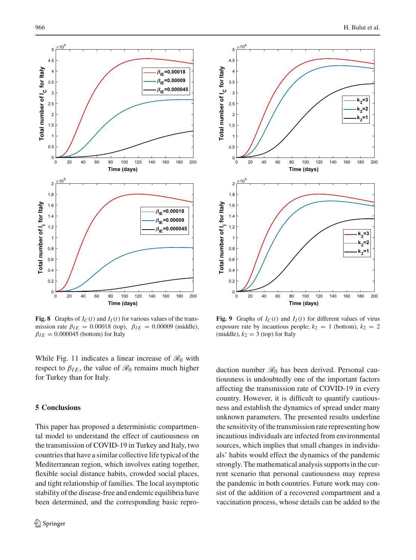

<span id="page-9-1"></span>**Fig. 8** Graphs of  $I_C(t)$  and  $I_I(t)$  for various values of the transmission rate  $\beta_{IE} = 0.00018$  (top),  $\beta_{IE} = 0.00009$  (middle),  $\beta_{IE} = 0.000045$  (bottom) for Italy

While Fig. [11](#page-10-1) indicates a linear increase of  $\mathcal{R}_0$  with respect to  $\beta_{IE}$ , the value of  $\mathcal{R}_0$  remains much higher for Turkey than for Italy.

## <span id="page-9-0"></span>**5 Conclusions**

This paper has proposed a deterministic compartmental model to understand the effect of cautiousness on the transmission of COVID-19 in Turkey and Italy, two countries that have a similar collective life typical of the Mediterranean region, which involves eating together, flexible social distance habits, crowded social places, and tight relationship of families. The local asymptotic stability of the disease-free and endemic equilibria have been determined, and the corresponding basic repro-



<span id="page-9-2"></span>**Fig. 9** Graphs of  $I_C(t)$  and  $I_I(t)$  for different values of virus exposure rate by incautious people;  $k_2 = 1$  (bottom),  $k_2 = 2$ (middle),  $k_2 = 3$  (top) for Italy

duction number  $\mathcal{R}_0$  has been derived. Personal cautiousness is undoubtedly one of the important factors affecting the transmission rate of COVID-19 in every country. However, it is difficult to quantify cautiousness and establish the dynamics of spread under many unknown parameters. The presented results underline the sensitivity of the transmission rate representing how incautious individuals are infected from environmental sources, which implies that small changes in individuals' habits would effect the dynamics of the pandemic strongly. The mathematical analysis supports in the current scenario that personal cautiousness may repress the pandemic in both countries. Future work may consist of the addition of a recovered compartment and a vaccination process, whose details can be added to the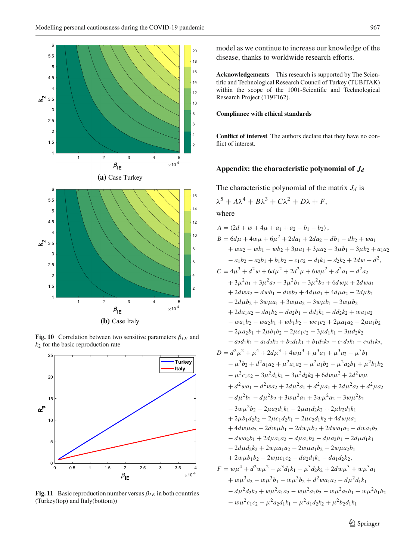

<span id="page-10-0"></span>**Fig. 10** Correlation between two sensitive parameters  $\beta_{IE}$  and *k*<sup>2</sup> for the basic reproduction rate



<span id="page-10-1"></span>**Fig. 11** Basic reproduction number versus  $\beta_{IE}$  in both countries (Turkey(top) and Italy(bottom))

model as we continue to increase our knowledge of the disease, thanks to worldwide research efforts.

**Acknowledgements** This research is supported by The Scientific and Technological Research Council of Turkey (TUBITAK) within the scope of the 1001-Scientific and Technological Research Project (119F162).

# **Compliance with ethical standards**

**Conflict of interest** The authors declare that they have no conflict of interest.

# **Appendix: the characteristic polynomial of** *Jd*

The characteristic polynomial of the matrix  $J_d$  is

$$
\lambda^5 + A\lambda^4 + B\lambda^3 + C\lambda^2 + D\lambda + F,
$$

where

A = 
$$
(2d + w + 4\mu + a_1 + a_2 - b_1 - b_2)
$$
,  
\nB =  $6d\mu + 4w\mu + 6\mu^2 + 2da_1 + 2da_2 - db_1 - db_2 + wa_1$   
\n $+ wa_2 - wb_1 - wb_2 + 3\mu a_1 + 3\mu a_2 - 3\mu b_1 - 3\mu b_2 + a_1a_2$   
\n $- a_1b_2 - a_2b_1 + b_1b_2 - c_1c_2 - d_1k_1 - d_2k_2 + 2dw + d^2$ ,  
\nC =  $4\mu^3 + d^2w + 6d\mu^2 + 2d^2\mu + 6w\mu^2 + d^2a_1 + d^2a_2$   
\n $+ 3\mu^2a_1 + 3\mu^2a_2 - 3\mu^2b_1 - 3\mu^2b_2 + 6d w\mu + 2dwa_1$   
\n $+ 2dwa_2 - dwb_1 - dwb_2 + 4d\mu a_1 + 4d\mu a_2 - 2d\mu b_1$   
\n $- 2d\mu b_2 + 3w\mu a_1 + 3w\mu a_2 - 3w\mu b_1 - 3w\mu b_2$   
\n $+ 2da_1a_2 - da_1b_2 - da_2b_1 - dd_1k_1 - dd_2k_2 + wa_1a_2$   
\n $- wa_1b_2 - wa_2b_1 + wb_1b_2 - wc_1c_2 + 2\mu a_1a_2 - 2\mu a_1b_2$   
\n $- 2\mu a_2b_1 + 2\mu b_1b_2 - 2\mu c_1c_2 - 3\mu d_1k_1 - 3\mu d_2k_2$   
\n $- a_2d_1k_1 - a_1d_2k_2 + b_2d_1k_1 + b_1d_2k_2 - c_1d_2k_1 - c_2d_1k_2$ ,  
\nD =  $d^2\mu^2 + \mu^4 + 2d\mu^3 + 4w\mu^3 + \mu^3a_1 + \mu^3a_2 - \mu^3b_1$   
\n $- \mu^3b_2 + d^2a_1a_2 + \mu^2a_1$ 

<sup>2</sup> Springer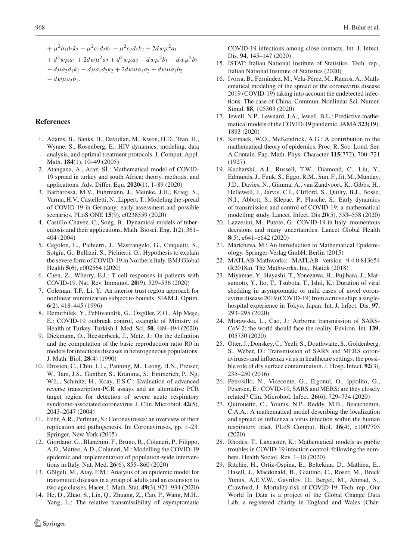$+\mu^2 b_1 d_2 k_2 - \mu^2 c_1 d_2 k_1 - \mu^2 c_2 d_1 k_2 + 2 d w \mu^2 a_1$ 

- $+ d^2w\mu a_1 + 2dw\mu^2 a_2 + d^2w\mu a_2 dw\mu^2 b_1 dw\mu^2 b_2$
- $-d\mu a_2 d_1 k_1 d\mu a_1 d_2 k_2 + 2d w \mu a_1 a_2 d w \mu a_1 b_2$
- $-dw\mu a_2b_1$ .

# **References**

- <span id="page-11-1"></span>1. Adams, B., Banks, H., Davidian, M., Kwon, H.D., Tran, H., Wynne, S., Rosenberg, E.: HIV dynamics: modeling, data analysis, and optimal treatment protocols. J. Comput. Appl. Math. **184**(1), 10–49 (2005)
- <span id="page-11-13"></span>2. Atangana, A., Araz, Sİ.: Mathematical model of COVID-19 spread in turkey and south Africa: theory, methods, and applications. Adv. Differ. Equ. **2020**(1), 1–89 (2020)
- <span id="page-11-14"></span>3. Barbarossa, M.V., Fuhrmann, J., Meinke, J.H., Krieg, S., Varma, H.V., Castelletti, N., Lippert, T.: Modeling the spread of COVID-19 in Germany: early assessment and possible scenarios. PLoS ONE **15**(9), e0238559 (2020)
- <span id="page-11-2"></span>4. Castillo-Chavez, C., Song, B.: Dynamical models of tuberculosis and their applications. Math. Biosci. Eng. **1**(2), 361– 404 (2004)
- <span id="page-11-10"></span>5. Cegolon, L., Pichierri, J., Mastrangelo, G., Cinquetti, S., Sotgiu, G., Bellizzi, S., Pichierri, G.: Hypothesis to explain the severe form of COVID-19 in Northern Italy. BMJ Global Health **5**(6), e002564 (2020)
- <span id="page-11-19"></span>6. Chen, Z., Wherry, E.J.: T cell responses in patients with COVID-19. Nat. Rev. Immunol. **20**(9), 529–536 (2020)
- <span id="page-11-27"></span>7. Coleman, T.F., Li, Y.: An interior trust region approach for nonlinear minimization subject to bounds. SIAM J. Optim. **6**(2), 418–445 (1996)
- <span id="page-11-9"></span>8. Demirbilek, Y., Pehlivantürk, G., Özgüler, Z.O., Alp Meşe, E.: COVID-19 outbreak control, example of Ministry of Health of Turkey. Turkish J. Med. Sci. **50**, 489–494 (2020)
- <span id="page-11-20"></span>9. Diekmann, O., Heesterbeek, J., Metz, J.: On the definition and the computation of the basic reproduction ratio R0 in models for infectious diseases in heterogeneous populations. J. Math. Biol. **28**(4) (1990)
- <span id="page-11-23"></span>10. Drosten, C., Chiu, L.L., Panning, M., Leong, H.N., Preiser, W., Tam, J.S., Gunther, S., Kramme, S., Emmerich, P., Ng, W.L., Schmitz, H., Koay, E.S.C.: Evaluation of advanced reverse transcription-PCR assays and an alternative PCR target region for detection of severe acute respiratory syndrome-associated coronavirus. J. Clin. Microbiol. **42**(5), 2043–2047 (2004)
- <span id="page-11-5"></span>11. Fehr, A.R., Perlman, S.: Coronaviruses: an overview of their replication and pathogenesis. In: Coronaviruses, pp. 1–23. Springer, New York (2015)
- <span id="page-11-15"></span>12. Giordano, G., Blanchini, F., Bruno, R., Colaneri, P., Filippo, A.D., Matteo, A.D., Colaneri, M.: Modelling the COVID-19 epidemic and implementation of population-wide interventions in Italy. Nat. Med. **26**(6), 855–860 (2020)
- <span id="page-11-3"></span>13. Gölgeli, M., Atay, F.M.: Analysis of an epidemic model for transmitted diseases in a group of adults and an extension to two age classes. Hacet. J. Math. Stat. **49**(3), 921–934 (2020)
- <span id="page-11-26"></span>14. He, D., Zhao, S., Lin, Q., Zhuang, Z., Cao, P., Wang, M.H., Yang, L.: The relative transmissibility of asymptomatic

COVID-19 infections among close contacts. Int. J. Infect. Dis. **94**, 145–147 (2020)

- <span id="page-11-24"></span>15. ISTAT: Italian National Institute of Statistics. Tech. rep., Italian National Institute of Statistics (2020)
- <span id="page-11-16"></span>16. Ivorra, B., Ferrández, M., Vela-Pérez, M., Ramos, A.: Mathematical modeling of the spread of the coronavirus disease 2019 (COVID-19) taking into account the undetected infections. The case of China. Commun. Nonlinear Sci. Numer. Simul. **88**, 105303 (2020)
- <span id="page-11-17"></span>17. Jewell, N.P., Lewnard, J.A., Jewell, B.L.: Predictive mathematical models of the COVID-19 pandemic. JAMA **323**(19), 1893 (2020)
- <span id="page-11-0"></span>18. Kermack, W.O., McKendrick, A.G.: A contribution to the mathematical theory of epidemics. Proc. R. Soc. Lond. Ser. A Contain. Pap. Math. Phys. Character **115**(772), 700–721 (1927)
- <span id="page-11-18"></span>19. Kucharski, A.J., Russell, T.W., Diamond, C., Liu, Y., Edmunds, J., Funk, S., Eggo, R.M., Sun, F., Jit, M., Munday, J.D., Davies, N., Gimma, A., van Zandvoort, K., Gibbs, H., Hellewell, J., Jarvis, C.I., Clifford, S., Quilty, B.J., Bosse, N.I., Abbott, S., Klepac, P., Flasche, S.: Early dynamics of transmission and control of COVID-19: a mathematical modelling study. Lancet. Infect. Dis **20**(5), 553–558 (2020)
- <span id="page-11-11"></span>20. Lazzerini, M., Putoto, G.: COVID-19 in Italy: momentous decisions and many uncertainties. Lancet Global Health **8**(5), e641–e642 (2020)
- <span id="page-11-4"></span>21. Martcheva, M.: An Introduction to Mathematical Epidemiology. Springer-Verlag GmbH, Berlin (2015)
- <span id="page-11-28"></span>22. MATLAB-Mathworks: MATLAB version 9.4.0.813654 (R2018a). The Mathworks, Inc., Natick (2018)
- <span id="page-11-25"></span>23. Miyamae, Y., Hayashi, T., Yonezawa, H., Fujihara, J., Matsumoto, Y., Ito, T., Tsubota, T., Ishii, K.: Duration of viral shedding in asymptomatic or mild cases of novel coronavirus disease 2019 (COVID-19) from a cruise ship: a singlehospital experience in Tokyo, Japan. Int. J. Infect. Dis. **97**, 293–295 (2020)
- <span id="page-11-7"></span>24. Morawska, L., Cao, J.: Airborne transmission of SARS-CoV-2: the world should face the reality. Environ. Int. **139**, 105730 (2020)
- <span id="page-11-6"></span>25. Otter, J., Donskey, C., Yezli, S., Douthwaite, S., Goldenberg, S., Weber, D.: Transmission of SARS and MERS coronaviruses and influenza virus in healthcare settings: the possible role of dry surface contamination. J. Hosp. Infect. **92**(3), 235–250 (2016)
- <span id="page-11-8"></span>26. Petrosillo, N., Viceconte, G., Ergonul, O., Ippolito, G., Petersen, E.: COVID-19, SARS and MERS: are they closely related? Clin. Microbiol. Infect. **26**(6), 729–734 (2020)
- <span id="page-11-22"></span>27. Quirouette, C., Younis, N.P., Reddy, M.B., Beauchemin, C.A.A.: A mathematical model describing the localization and spread of influenza a virus infection within the human respiratory tract. PLoS Comput. Biol. **16**(4), e1007705 (2020)
- <span id="page-11-12"></span>28. Rhodes, T., Lancaster, K.: Mathematical models as public troubles in COVID-19 infection control: following the numbers. Health Sociol. Rev. 1–18 (2020)
- <span id="page-11-21"></span>29. Ritchie, H., Ortiz-Ospina, E., Beltekian, D., Mathieu, E., Hasell, J., Macdonald, B., Giattino, C., Roser, M., Breck Yunits, A.E.V.W., Gavrilov, D., Bergel, M., Ahmad, S., Crawford, J.: Mortality risk of COVID-19. Tech. rep., Our World In Data is a project of the Global Change Data Lab, a registered charity in England and Wales (Char-